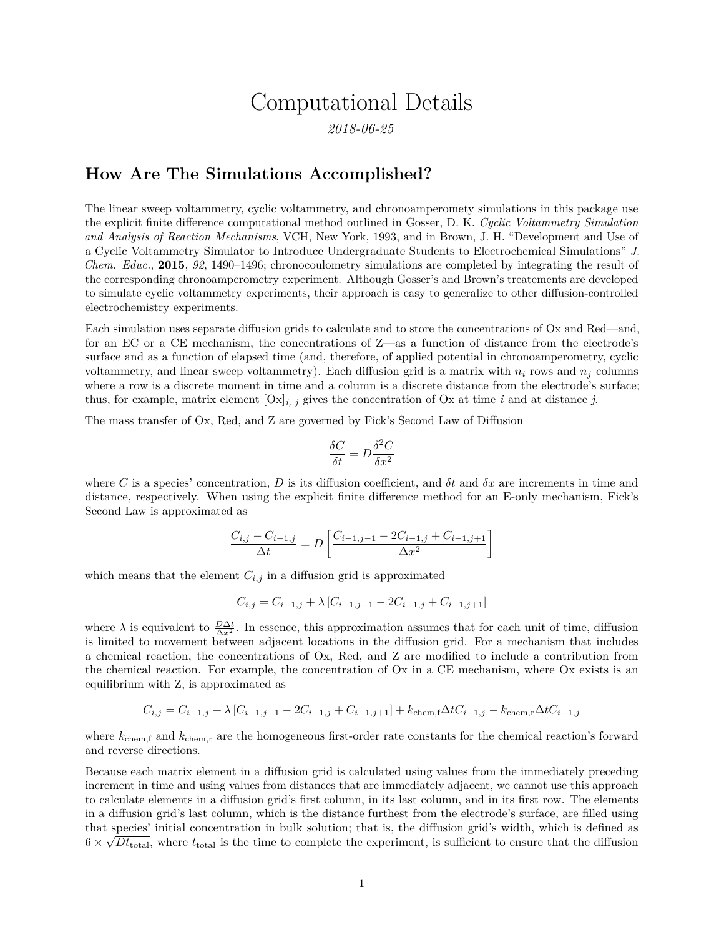## Computational Details

*2018-06-25*

## **How Are The Simulations Accomplished?**

The linear sweep voltammetry, cyclic voltammetry, and chronoamperomety simulations in this package use the explicit finite difference computational method outlined in Gosser, D. K. *Cyclic Voltammetry Simulation and Analysis of Reaction Mechanisms*, VCH, New York, 1993, and in Brown, J. H. "Development and Use of a Cyclic Voltammetry Simulator to Introduce Undergraduate Students to Electrochemical Simulations" *J. Chem. Educ.*, **2015**, *92*, 1490–1496; chronocoulometry simulations are completed by integrating the result of the corresponding chronoamperometry experiment. Although Gosser's and Brown's treatements are developed to simulate cyclic voltammetry experiments, their approach is easy to generalize to other diffusion-controlled electrochemistry experiments.

Each simulation uses separate diffusion grids to calculate and to store the concentrations of Ox and Red—and, for an EC or a CE mechanism, the concentrations of Z—as a function of distance from the electrode's surface and as a function of elapsed time (and, therefore, of applied potential in chronoamperometry, cyclic voltammetry, and linear sweep voltammetry). Each diffusion grid is a matrix with  $n_i$  rows and  $n_j$  columns where a row is a discrete moment in time and a column is a discrete distance from the electrode's surface; thus, for example, matrix element  $[Ox]_{i,j}$  gives the concentration of Ox at time *i* and at distance *j*.

The mass transfer of Ox, Red, and Z are governed by Fick's Second Law of Diffusion

$$
\frac{\delta C}{\delta t}=D\frac{\delta^2 C}{\delta x^2}
$$

where *C* is a species' concentration, *D* is its diffusion coefficient, and  $\delta t$  and  $\delta x$  are increments in time and distance, respectively. When using the explicit finite difference method for an E-only mechanism, Fick's Second Law is approximated as

$$
\frac{C_{i,j} - C_{i-1,j}}{\Delta t} = D \left[ \frac{C_{i-1,j-1} - 2C_{i-1,j} + C_{i-1,j+1}}{\Delta x^2} \right]
$$

which means that the element  $C_{i,j}$  in a diffusion grid is approximated

$$
C_{i,j} = C_{i-1,j} + \lambda \left[ C_{i-1,j-1} - 2C_{i-1,j} + C_{i-1,j+1} \right]
$$

where  $\lambda$  is equivalent to  $\frac{D\Delta t}{\Delta x^2}$ . In essence, this approximation assumes that for each unit of time, diffusion is limited to movement between adjacent locations in the diffusion grid. For a mechanism that includes a chemical reaction, the concentrations of Ox, Red, and Z are modified to include a contribution from the chemical reaction. For example, the concentration of Ox in a CE mechanism, where Ox exists is an equilibrium with Z, is approximated as

$$
C_{i,j} = C_{i-1,j} + \lambda \left[ C_{i-1,j-1} - 2C_{i-1,j} + C_{i-1,j+1} \right] + k_{\text{chem},\text{f}} \Delta t C_{i-1,j} - k_{\text{chem},\text{r}} \Delta t C_{i-1,j}
$$

where  $k_{\text{chem,f}}$  and  $k_{\text{chem,r}}$  are the homogeneous first-order rate constants for the chemical reaction's forward and reverse directions.

Because each matrix element in a diffusion grid is calculated using values from the immediately preceding increment in time and using values from distances that are immediately adjacent, we cannot use this approach to calculate elements in a diffusion grid's first column, in its last column, and in its first row. The elements in a diffusion grid's last column, which is the distance furthest from the electrode's surface, are filled using that species' initial concentration in bulk solution; that is, the diffusion grid's width, which is defined as  $6 \times \sqrt{Dt_{\text{total}}}$ , where  $t_{\text{total}}$  is the time to complete the experiment, is sufficient to ensure that the diffusion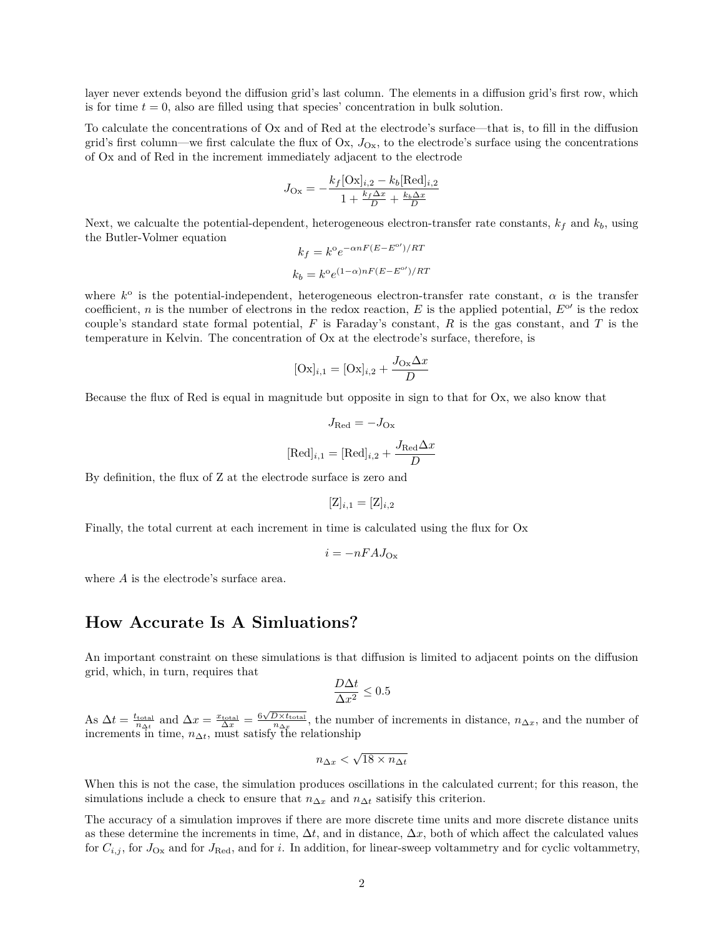layer never extends beyond the diffusion grid's last column. The elements in a diffusion grid's first row, which is for time  $t = 0$ , also are filled using that species' concentration in bulk solution.

To calculate the concentrations of Ox and of Red at the electrode's surface—that is, to fill in the diffusion grid's first column—we first calculate the flux of  $Ox$ ,  $J<sub>Ox</sub>$ , to the electrode's surface using the concentrations of Ox and of Red in the increment immediately adjacent to the electrode

$$
J_{\text{Ox}} = -\frac{k_f[\text{Ox}]_{i,2} - k_b[\text{Red}]_{i,2}}{1 + \frac{k_f \Delta x}{D} + \frac{k_b \Delta x}{D}}
$$

Next, we calcualte the potential-dependent, heterogeneous electron-transfer rate constants,  $k_f$  and  $k_b$ , using the Butler-Volmer equation

$$
k_f = k^{\circ} e^{-\alpha n F (E - E^{\circ})/RT}
$$

$$
k_b = k^{\circ} e^{(1-\alpha)nF(E - E^{\circ})/RT}
$$

where  $k^{\circ}$  is the potential-independent, heterogeneous electron-transfer rate constant,  $\alpha$  is the transfer coefficient, *n* is the number of electrons in the redox reaction,  $E$  is the applied potential,  $E^{\circ}$  is the redox couple's standard state formal potential, *F* is Faraday's constant, *R* is the gas constant, and *T* is the temperature in Kelvin. The concentration of Ox at the electrode's surface, therefore, is

$$
[\mathbf{Ox}]_{i,1} = [\mathbf{Ox}]_{i,2} + \frac{J_{\mathbf{Ox}}\Delta x}{D}
$$

Because the flux of Red is equal in magnitude but opposite in sign to that for Ox, we also know that

$$
J_{\text{Red}} = -J_{\text{Ox}}
$$

$$
[\text{Red}]_{i,1} = [\text{Red}]_{i,2} + \frac{J_{\text{Red}}\Delta x}{D}
$$

By definition, the flux of Z at the electrode surface is zero and

$$
[\mathbf{Z}]_{i,1} = [\mathbf{Z}]_{i,2}
$$

Finally, the total current at each increment in time is calculated using the flux for Ox

$$
i = -nFAJ_{\rm Ox}
$$

where *A* is the electrode's surface area.

## **How Accurate Is A Simluations?**

An important constraint on these simulations is that diffusion is limited to adjacent points on the diffusion grid, which, in turn, requires that

$$
\frac{D\Delta t}{\Delta x^2} \le 0.5
$$

As  $\Delta t = \frac{t_{\text{total}}}{n_{\Delta t}}$  and  $\Delta x = \frac{x_{\text{total}}}{\Delta x} = \frac{6\sqrt{D \times t_{\text{total}}}}{n_{\Delta x}}$ , the number of increments in distance,  $n_{\Delta x}$ , and the number of increments in time,  $n_{\Delta t}$ , must satisfy the relationship

$$
n_{\Delta x} < \sqrt{18 \times n_{\Delta t}}
$$

When this is not the case, the simulation produces oscillations in the calculated current; for this reason, the simulations include a check to ensure that  $n_{\Delta x}$  and  $n_{\Delta t}$  satisify this criterion.

The accuracy of a simulation improves if there are more discrete time units and more discrete distance units as these determine the increments in time,  $\Delta t$ , and in distance,  $\Delta x$ , both of which affect the calculated values for  $C_{i,j}$ , for  $J_{\text{Ox}}$  and for  $J_{\text{Red}}$ , and for *i*. In addition, for linear-sweep voltammetry and for cyclic voltammetry,